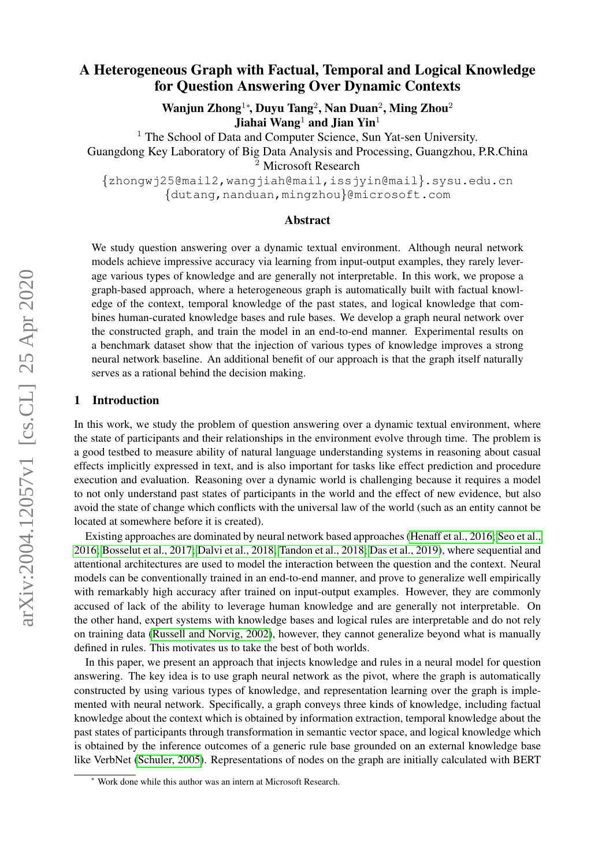# A Heterogeneous Graph with Factual, Temporal and Logical Knowledge for Question Answering Over Dynamic Contexts

Wanjun Zhong<sup>1</sup>\*, Duyu Tang<sup>2</sup>, Nan Duan<sup>2</sup>, Ming Zhou<sup>2</sup> Jiahai Wang<sup>1</sup> and Jian Yin<sup>1</sup>

<sup>1</sup> The School of Data and Computer Science, Sun Yat-sen University.

Guangdong Key Laboratory of Big Data Analysis and Processing, Guangzhou, P.R.China <sup>2</sup> Microsoft Research

{zhongwj25@mail2,wangjiah@mail,issjyin@mail}.sysu.edu.cn {dutang,nanduan,mingzhou}@microsoft.com

### Abstract

We study question answering over a dynamic textual environment. Although neural network models achieve impressive accuracy via learning from input-output examples, they rarely leverage various types of knowledge and are generally not interpretable. In this work, we propose a graph-based approach, where a heterogeneous graph is automatically built with factual knowledge of the context, temporal knowledge of the past states, and logical knowledge that combines human-curated knowledge bases and rule bases. We develop a graph neural network over the constructed graph, and train the model in an end-to-end manner. Experimental results on a benchmark dataset show that the injection of various types of knowledge improves a strong neural network baseline. An additional benefit of our approach is that the graph itself naturally serves as a rational behind the decision making.

# 1 Introduction

In this work, we study the problem of question answering over a dynamic textual environment, where the state of participants and their relationships in the environment evolve through time. The problem is a good testbed to measure ability of natural language understanding systems in reasoning about casual effects implicitly expressed in text, and is also important for tasks like effect prediction and procedure execution and evaluation. Reasoning over a dynamic world is challenging because it requires a model to not only understand past states of participants in the world and the effect of new evidence, but also avoid the state of change which conflicts with the universal law of the world (such as an entity cannot be located at somewhere before it is created).

Existing approaches are dominated by neural network based approaches [\(Henaff et al., 2016;](#page-9-0) [Seo et al.,](#page-9-1) [2016;](#page-9-1) [Bosselut et al., 2017;](#page-9-2) [Dalvi et al., 2018;](#page-9-3) [Tandon et al., 2018;](#page-10-0) [Das et al., 2019\)](#page-9-4), where sequential and attentional architectures are used to model the interaction between the question and the context. Neural models can be conventionally trained in an end-to-end manner, and prove to generalize well empirically with remarkably high accuracy after trained on input-output examples. However, they are commonly accused of lack of the ability to leverage human knowledge and are generally not interpretable. On the other hand, expert systems with knowledge bases and logical rules are interpretable and do not rely on training data [\(Russell and Norvig, 2002\)](#page-9-5), however, they cannot generalize beyond what is manually defined in rules. This motivates us to take the best of both worlds.

In this paper, we present an approach that injects knowledge and rules in a neural model for question answering. The key idea is to use graph neural network as the pivot, where the graph is automatically constructed by using various types of knowledge, and representation learning over the graph is implemented with neural network. Specifically, a graph conveys three kinds of knowledge, including factual knowledge about the context which is obtained by information extraction, temporal knowledge about the past states of participants through transformation in semantic vector space, and logical knowledge which is obtained by the inference outcomes of a generic rule base grounded on an external knowledge base like VerbNet [\(Schuler, 2005\)](#page-9-6). Representations of nodes on the graph are initially calculated with BERT

<sup>∗</sup> Work done while this author was an intern at Microsoft Research.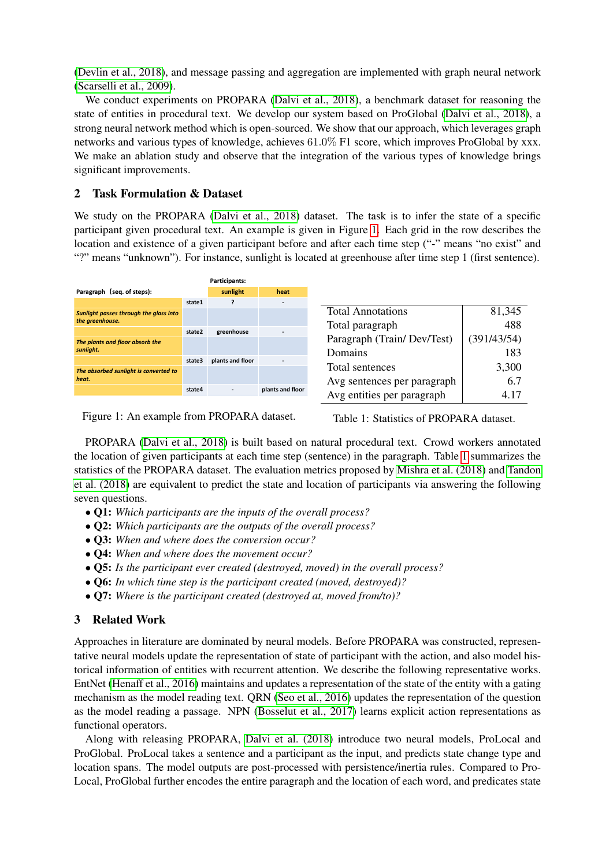[\(Devlin et al., 2018\)](#page-9-7), and message passing and aggregation are implemented with graph neural network [\(Scarselli et al., 2009\)](#page-9-8).

We conduct experiments on PROPARA [\(Dalvi et al., 2018\)](#page-9-3), a benchmark dataset for reasoning the state of entities in procedural text. We develop our system based on ProGlobal [\(Dalvi et al., 2018\)](#page-9-3), a strong neural network method which is open-sourced. We show that our approach, which leverages graph networks and various types of knowledge, achieves 61.0% F1 score, which improves ProGlobal by xxx. We make an ablation study and observe that the integration of the various types of knowledge brings significant improvements.

# <span id="page-1-2"></span>2 Task Formulation & Dataset

We study on the PROPARA [\(Dalvi et al., 2018\)](#page-9-3) dataset. The task is to infer the state of a specific participant given procedural text. An example is given in Figure [1.](#page-1-0) Each grid in the row describes the location and existence of a given participant before and after each time step ("-" means "no exist" and "?" means "unknown"). For instance, sunlight is located at greenhouse after time step 1 (first sentence).

|                                        |        | Participants:    |                          |                             |             |
|----------------------------------------|--------|------------------|--------------------------|-----------------------------|-------------|
| Paragraph (seq. of steps):             |        | sunlight         | heat                     |                             |             |
|                                        | state1 |                  | ٠                        |                             |             |
| Sunlight passes through the glass into |        |                  |                          | <b>Total Annotations</b>    | 81,345      |
| the greenhouse.                        |        |                  |                          | Total paragraph             | 488         |
|                                        | state2 | greenhouse       |                          |                             |             |
| The plants and floor absorb the        |        |                  |                          | Paragraph (Train/Dev/Test)  | (391/43/54) |
| sunlight.                              |        |                  |                          | Domains                     | 183         |
|                                        | state3 | plants and floor | $\overline{\phantom{a}}$ |                             |             |
| The absorbed sunlight is converted to  |        |                  |                          | Total sentences             | 3,300       |
| heat.                                  |        |                  |                          | Avg sentences per paragraph | 6.7         |
|                                        | state4 |                  | plants and floor         | Avg entities per paragraph  | 4.17        |
|                                        |        |                  |                          |                             |             |

<span id="page-1-0"></span> $\sum_{i=1}^{n}$  **pp**  $\bigcap_{i=1}^{n}$  **p**  $\bigcap_{i=1}^{n}$  **b**  $\bigcap_{i=1}^{n}$  **f**  $\bigcap_{i=1}^{n}$  **g**  $\bigcap_{i=1}^{n}$  **top** Figure 1: An example from PROPARA dataset.

<span id="page-1-1"></span>Table 1: Statistics of PROPARA dataset.

**state6 - greenhouse greenhouse top** *The hot air rises.* PROPARA [\(Dalvi et al., 2018\)](#page-9-3) is built based on natural procedural text. Crowd workers annotated the location of given participants at each time step (sentence) in the paragraph. Table [1](#page-1-1) summarizes the statistics of the PROPARA dataset. The evaluation metrics proposed by [Mishra et al. \(2018\)](#page-9-9) and [Tandon](#page-10-0) [et al. \(2018\)](#page-10-0) are equivalent to predict the state and location of participants via answering the following seven questions.

- Q1: *Which participants are the inputs of the overall process?*
- Q2: *Which participants are the outputs of the overall process?*
- Q3: *When and where does the conversion occur?*
- Q4: *When and where does the movement occur?*
- Q5: *Is the participant ever created (destroyed, moved) in the overall process?*
- Q6: *In which time step is the participant created (moved, destroyed)?*
- Q7: *Where is the participant created (destroyed at, moved from/to)?*

# 3 Related Work

Approaches in literature are dominated by neural models. Before PROPARA was constructed, representative neural models update the representation of state of participant with the action, and also model historical information of entities with recurrent attention. We describe the following representative works. EntNet [\(Henaff et al., 2016\)](#page-9-0) maintains and updates a representation of the state of the entity with a gating mechanism as the model reading text. QRN [\(Seo et al., 2016\)](#page-9-1) updates the representation of the question as the model reading a passage. NPN [\(Bosselut et al., 2017\)](#page-9-2) learns explicit action representations as functional operators.

Along with releasing PROPARA, [Dalvi et al. \(2018\)](#page-9-3) introduce two neural models, ProLocal and ProGlobal. ProLocal takes a sentence and a participant as the input, and predicts state change type and location spans. The model outputs are post-processed with persistence/inertia rules. Compared to Pro-Local, ProGlobal further encodes the entire paragraph and the location of each word, and predicates state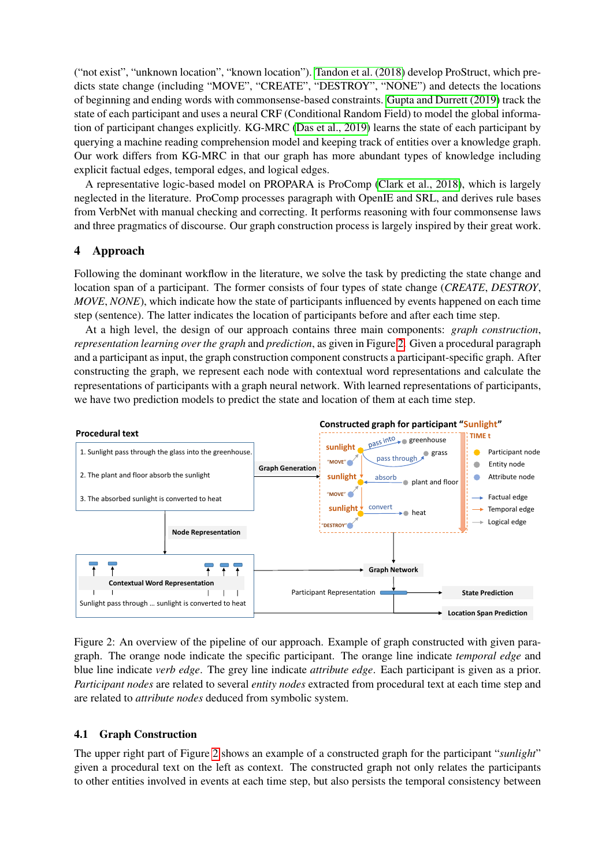("not exist", "unknown location", "known location"). [Tandon et al. \(2018\)](#page-10-0) develop ProStruct, which predicts state change (including "MOVE", "CREATE", "DESTROY", "NONE") and detects the locations of beginning and ending words with commonsense-based constraints. [Gupta and Durrett \(2019\)](#page-9-10) track the state of each participant and uses a neural CRF (Conditional Random Field) to model the global information of participant changes explicitly. KG-MRC [\(Das et al., 2019\)](#page-9-4) learns the state of each participant by querying a machine reading comprehension model and keeping track of entities over a knowledge graph. Our work differs from KG-MRC in that our graph has more abundant types of knowledge including explicit factual edges, temporal edges, and logical edges.

A representative logic-based model on PROPARA is ProComp [\(Clark et al., 2018\)](#page-9-11), which is largely neglected in the literature. ProComp processes paragraph with OpenIE and SRL, and derives rule bases from VerbNet with manual checking and correcting. It performs reasoning with four commonsense laws and three pragmatics of discourse. Our graph construction process is largely inspired by their great work.

# 4 Approach

Following the dominant workflow in the literature, we solve the task by predicting the state change and location span of a participant. The former consists of four types of state change (*CREATE*, *DESTROY*, *MOVE*, *NONE*), which indicate how the state of participants influenced by events happened on each time step (sentence). The latter indicates the location of participants before and after each time step.

At a high level, the design of our approach contains three main components: *graph construction*, *representation learning over the graph* and *prediction*, as given in Figure [2.](#page-2-0) Given a procedural paragraph and a participant as input, the graph construction component constructs a participant-specific graph. After constructing the graph, we represent each node with contextual word representations and calculate the representations of participants with a graph neural network. With learned representations of participants, we have two prediction models to predict the state and location of them at each time step.



<span id="page-2-0"></span>Figure 2: An overview of the pipeline of our approach. Example of graph constructed with given paragraph. The orange node indicate the specific participant. The orange line indicate *temporal edge* and blue line indicate *verb edge*. The grey line indicate *attribute edge*. Each participant is given as a prior. *Participant nodes* are related to several *entity nodes* extracted from procedural text at each time step and are related to *attribute nodes* deduced from symbolic system.

# 4.1 Graph Construction

The upper right part of Figure [2](#page-2-0) shows an example of a constructed graph for the participant "*sunlight*" given a procedural text on the left as context. The constructed graph not only relates the participants to other entities involved in events at each time step, but also persists the temporal consistency between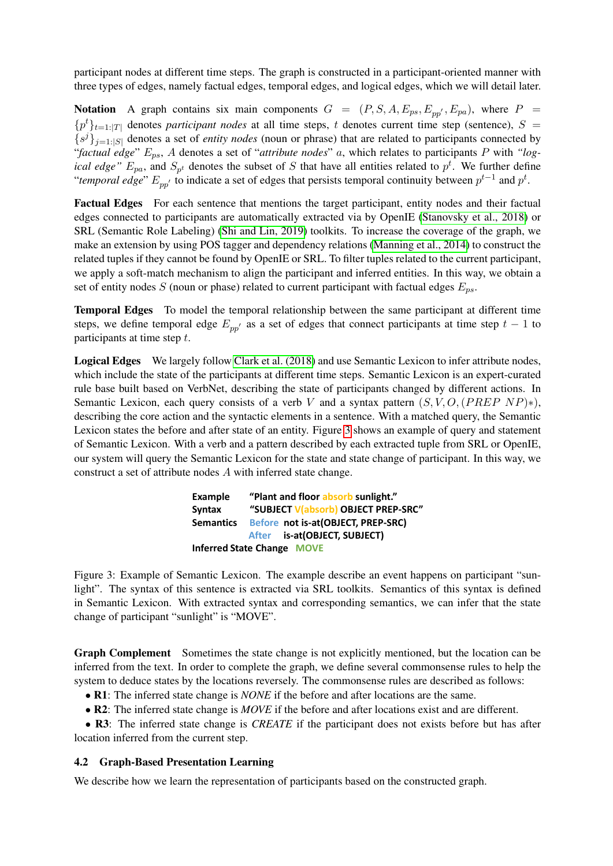participant nodes at different time steps. The graph is constructed in a participant-oriented manner with three types of edges, namely factual edges, temporal edges, and logical edges, which we will detail later.

**Notation** A graph contains six main components  $G = (P, S, A, E_{ps}, E_{pp'}, E_{pa})$ , where  $P =$  ${p<sup>t</sup>}_{t=1:|T|}$  denotes *participant nodes* at all time steps, t denotes current time step (sentence), S =  ${s^{j}}_{j=1:|S|}$  denotes a set of *entity nodes* (noun or phrase) that are related to participants connected by "*factual edge*" Eps, A denotes a set of "*attribute nodes*" a, which relates to participants P with *"logical edge"*  $E_{pa}$ , and  $S_{p^t}$  denotes the subset of S that have all entities related to  $p^t$ . We further define "*temporal edge*"  $E_{pp'}$  to indicate a set of edges that persists temporal continuity between  $p^{t-1}$  and  $p^t$ .

Factual Edges For each sentence that mentions the target participant, entity nodes and their factual edges connected to participants are automatically extracted via by OpenIE [\(Stanovsky et al., 2018\)](#page-10-1) or SRL (Semantic Role Labeling) [\(Shi and Lin, 2019\)](#page-9-12) toolkits. To increase the coverage of the graph, we make an extension by using POS tagger and dependency relations [\(Manning et al., 2014\)](#page-9-13) to construct the related tuples if they cannot be found by OpenIE or SRL. To filter tuples related to the current participant, we apply a soft-match mechanism to align the participant and inferred entities. In this way, we obtain a set of entity nodes S (noun or phase) related to current participant with factual edges  $E_{ns}$ .

Temporal Edges To model the temporal relationship between the same participant at different time steps, we define temporal edge  $E_{pp'}$  as a set of edges that connect participants at time step  $t - 1$  to participants at time step t.

Logical Edges We largely follow [Clark et al. \(2018\)](#page-9-11) and use Semantic Lexicon to infer attribute nodes, which include the state of the participants at different time steps. Semantic Lexicon is an expert-curated rule base built based on VerbNet, describing the state of participants changed by different actions. In Semantic Lexicon, each query consists of a verb V and a syntax pattern  $(S, V, O, (PREF NP)*)$ , describing the core action and the syntactic elements in a sentence. With a matched query, the Semantic Lexicon states the before and after state of an entity. Figure [3](#page-3-0) shows an example of query and statement of Semantic Lexicon. With a verb and a pattern described by each extracted tuple from SRL or OpenIE, our system will query the Semantic Lexicon for the state and state change of participant. In this way, we construct a set of attribute nodes A with inferred state change.

> **Example "Plant and floor absorb sunlight." Syntax "SUBJECT V(absorb) OBJECT PREP-SRC" Semantics Before not is-at(OBJECT, PREP-SRC) After is-at(OBJECT, SUBJECT) Inferred State Change MOVE**

<span id="page-3-0"></span>Figure 3: Example of Semantic Lexicon. The example describe an event happens on participant "sunlight". The syntax of this sentence is extracted via SRL toolkits. Semantics of this syntax is defined in Semantic Lexicon. With extracted syntax and corresponding semantics, we can infer that the state change of participant "sunlight" is "MOVE".

Graph Complement Sometimes the state change is not explicitly mentioned, but the location can be inferred from the text. In order to complete the graph, we define several commonsense rules to help the system to deduce states by the locations reversely. The commonsense rules are described as follows:

- R1: The inferred state change is *NONE* if the before and after locations are the same.
- R2: The inferred state change is *MOVE* if the before and after locations exist and are different.

• R3: The inferred state change is *CREATE* if the participant does not exists before but has after location inferred from the current step.

# 4.2 Graph-Based Presentation Learning

We describe how we learn the representation of participants based on the constructed graph.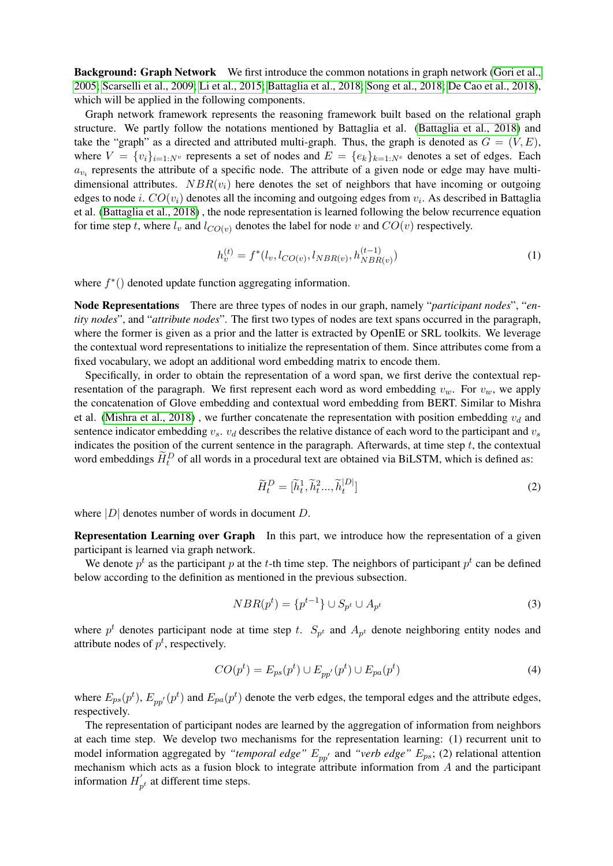Background: Graph Network We first introduce the common notations in graph network [\(Gori et al.,](#page-9-14) [2005;](#page-9-14) [Scarselli et al., 2009;](#page-9-8) [Li et al., 2015;](#page-9-15) [Battaglia et al., 2018;](#page-8-0) [Song et al., 2018;](#page-9-16) [De Cao et al., 2018\)](#page-9-17), which will be applied in the following components.

Graph network framework represents the reasoning framework built based on the relational graph structure. We partly follow the notations mentioned by Battaglia et al. [\(Battaglia et al., 2018\)](#page-8-0) and take the "graph" as a directed and attributed multi-graph. Thus, the graph is denoted as  $G = (V, E)$ , where  $V = \{v_i\}_{i=1:N^v}$  represents a set of nodes and  $E = \{e_k\}_{k=1:N^e}$  denotes a set of edges. Each  $a_{v_i}$  represents the attribute of a specific node. The attribute of a given node or edge may have multidimensional attributes.  $NBR(v_i)$  here denotes the set of neighbors that have incoming or outgoing edges to node *i*.  $CO(v_i)$  denotes all the incoming and outgoing edges from  $v_i$ . As described in Battaglia et al. [\(Battaglia et al., 2018\)](#page-8-0) , the node representation is learned following the below recurrence equation for time step t, where  $l_v$  and  $l_{CO(v)}$  denotes the label for node v and  $CO(v)$  respectively.

$$
h_v^{(t)} = f^*(l_v, l_{CO(v)}, l_{NBR(v)}, h_{NBR(v)}^{(t-1)})
$$
\n(1)

where  $f^*()$  denoted update function aggregating information.

Node Representations There are three types of nodes in our graph, namely "*participant nodes*", "*entity nodes*", and "*attribute nodes*". The first two types of nodes are text spans occurred in the paragraph, where the former is given as a prior and the latter is extracted by OpenIE or SRL toolkits. We leverage the contextual word representations to initialize the representation of them. Since attributes come from a fixed vocabulary, we adopt an additional word embedding matrix to encode them.

Specifically, in order to obtain the representation of a word span, we first derive the contextual representation of the paragraph. We first represent each word as word embedding  $v_w$ . For  $v_w$ , we apply the concatenation of Glove embedding and contextual word embedding from BERT. Similar to Mishra et al. [\(Mishra et al., 2018\)](#page-9-9), we further concatenate the representation with position embedding  $v_d$  and sentence indicator embedding  $v_s$ .  $v_d$  describes the relative distance of each word to the participant and  $v_s$ indicates the position of the current sentence in the paragraph. Afterwards, at time step  $t$ , the contextual word embeddings  $\widetilde{H}_t^D$  of all words in a procedural text are obtained via BiLSTM, which is defined as:

$$
\widetilde{H}_t^D = [\widetilde{h}_t^1, \widetilde{h}_t^2, \dots, \widetilde{h}_t^{|D|}]
$$
\n<sup>(2)</sup>

where  $|D|$  denotes number of words in document D.

Representation Learning over Graph In this part, we introduce how the representation of a given participant is learned via graph network.

We denote  $p^t$  as the participant p at the t-th time step. The neighbors of participant  $p^t$  can be defined below according to the definition as mentioned in the previous subsection.

$$
NBR(p^t) = \{p^{t-1}\} \cup S_{p^t} \cup A_{p^t}
$$
\n(3)

where  $p^t$  denotes participant node at time step t.  $S_{p^t}$  and  $A_{p^t}$  denote neighboring entity nodes and attribute nodes of  $p^t$ , respectively.

$$
CO(pt) = E_{ps}(pt) \cup E_{pp'}(pt) \cup E_{pa}(pt)
$$
\n(4)

where  $E_{ps}(p^t)$ ,  $E_{pp'}(p^t)$  and  $E_{pa}(p^t)$  denote the verb edges, the temporal edges and the attribute edges, respectively.

The representation of participant nodes are learned by the aggregation of information from neighbors at each time step. We develop two mechanisms for the representation learning: (1) recurrent unit to model information aggregated by "*temporal edge"*  $E_{pp'}$  and "*verb edge"*  $E_{ps}$ ; (2) relational attention mechanism which acts as a fusion block to integrate attribute information from A and the participant information  $H'_{\tau}$  $p_t$  at different time steps.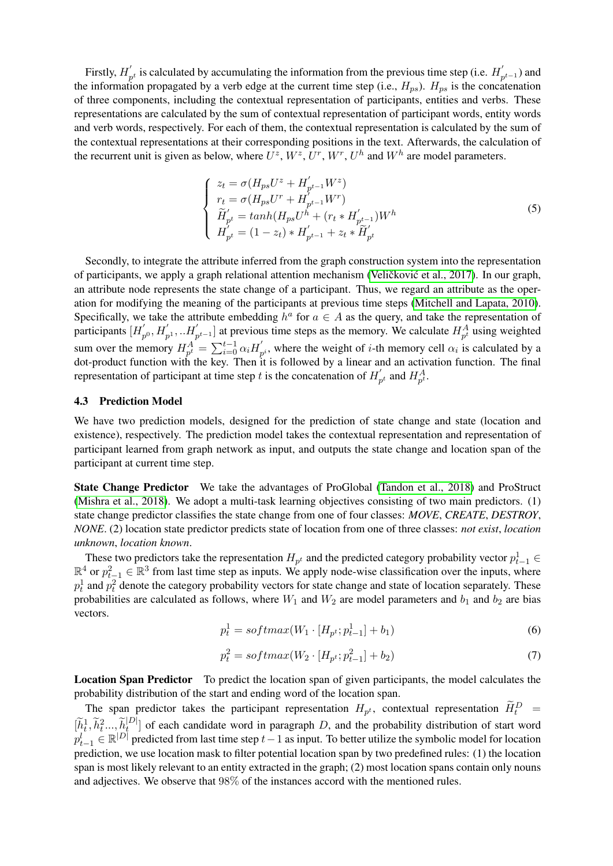Firstly,  $H'_r$  $p'_{p^t}$  is calculated by accumulating the information from the previous time step (i.e.  $H'_p$  $p^{t-1}$ ) and the information propagated by a verb edge at the current time step (i.e.,  $H_{ps}$ ).  $H_{ps}$  is the concatenation of three components, including the contextual representation of participants, entities and verbs. These representations are calculated by the sum of contextual representation of participant words, entity words and verb words, respectively. For each of them, the contextual representation is calculated by the sum of the contextual representations at their corresponding positions in the text. Afterwards, the calculation of the recurrent unit is given as below, where  $U^z$ ,  $W^z$ ,  $U^r$ ,  $W^r$ ,  $U^h$  and  $W^h$  are model parameters.

$$
\begin{cases}\n z_t = \sigma(H_{ps}U^z + H'_{p^{t-1}}W^z) \\
r_t = \sigma(H_{ps}U^r + H'_{p^{t-1}}W^r) \\
\widetilde{H}'_{p^t} = \tanh(H_{ps}U^h + (r_t * H'_{p^{t-1}})W^h) \\
H'_{p^t} = (1 - z_t) * H'_{p^{t-1}} + z_t * \widetilde{H}'_{p^t}\n\end{cases}
$$
\n(5)

Secondly, to integrate the attribute inferred from the graph construction system into the representation of participants, we apply a graph relational attention mechanism (Veličković et al., 2017). In our graph, an attribute node represents the state change of a participant. Thus, we regard an attribute as the operation for modifying the meaning of the participants at previous time steps [\(Mitchell and Lapata, 2010\)](#page-9-18). Specifically, we take the attribute embedding  $h^a$  for  $a \in A$  as the query, and take the representation of participants  $[H]$  $p_0, H'_{p^1}, \ldots, H'_{p^{t-1}}]$  at previous time steps as the memory. We calculate  $H_{p^t}^A$  using weighted sum over the memory  $H_{p^t}^A = \sum_{i=0}^{t-1} \alpha_i H_p^t$  $p_i$ , where the weight of *i*-th memory cell  $\alpha_i$  is calculated by a dot-product function with the key. Then it is followed by a linear and an activation function. The final representation of participant at time step t is the concatenation of  $H_i'$  $p_t'$  and  $H_{p_t}^A$ .

#### 4.3 Prediction Model

We have two prediction models, designed for the prediction of state change and state (location and existence), respectively. The prediction model takes the contextual representation and representation of participant learned from graph network as input, and outputs the state change and location span of the participant at current time step.

State Change Predictor We take the advantages of ProGlobal [\(Tandon et al., 2018\)](#page-10-0) and ProStruct [\(Mishra et al., 2018\)](#page-9-9). We adopt a multi-task learning objectives consisting of two main predictors. (1) state change predictor classifies the state change from one of four classes: *MOVE*, *CREATE*, *DESTROY*, *NONE*. (2) location state predictor predicts state of location from one of three classes: *not exist*, *location unknown*, *location known*.

These two predictors take the representation  $H_{p^t}$  and the predicted category probability vector  $p^1_{t-1} \in$  $\mathbb{R}^4$  or  $p_{t-1}^2 \in \mathbb{R}^3$  from last time step as inputs. We apply node-wise classification over the inputs, where  $p_t^1$  and  $p_t^2$  denote the category probability vectors for state change and state of location separately. These probabilities are calculated as follows, where  $W_1$  and  $W_2$  are model parameters and  $b_1$  and  $b_2$  are bias vectors.

$$
p_t^1 = softmax(W_1 \cdot [H_{p^t}; p_{t-1}^1] + b_1)
$$
\n(6)

$$
p_t^2 = softmax(W_2 \cdot [H_{p^t}; p_{t-1}^2] + b_2)
$$
\n(7)

Location Span Predictor To predict the location span of given participants, the model calculates the probability distribution of the start and ending word of the location span.

The span predictor takes the participant representation  $H_{p^t}$ , contextual representation  $\widetilde{H}_t^D$  =  $[\widetilde{h}_t^1, \widetilde{h}_t^2, ..., \widetilde{h}_t^{|D|}]$  $t_I^{\text{[D]}}$  of each candidate word in paragraph D, and the probability distribution of start word  $p_{t-1}^l \in \mathbb{R}^{|D|}$  predicted from last time step  $t-1$  as input. To better utilize the symbolic model for location prediction, we use location mask to filter potential location span by two predefined rules: (1) the location span is most likely relevant to an entity extracted in the graph; (2) most location spans contain only nouns and adjectives. We observe that 98% of the instances accord with the mentioned rules.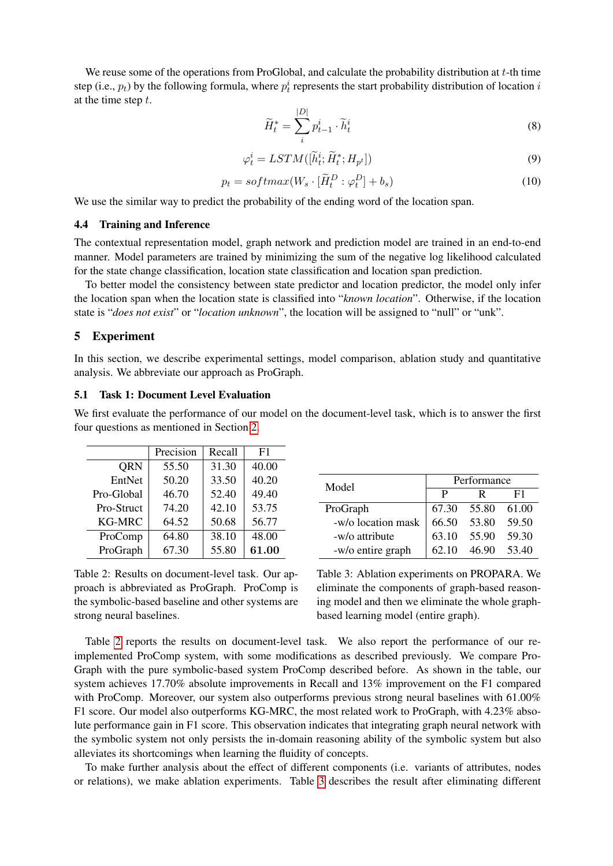We reuse some of the operations from ProGlobal, and calculate the probability distribution at  $t$ -th time step (i.e.,  $p_t$ ) by the following formula, where  $p_t^i$  represents the start probability distribution of location  $i$ at the time step  $t$ .

$$
\widetilde{H}_t^* = \sum_i^{|D|} p_{t-1}^i \cdot \widetilde{h}_t^i
$$
\n(8)

$$
\varphi_t^i = LSTM([\widetilde{h}_t^i; \widetilde{H}_t^*; H_{p^t}])
$$
\n(9)

$$
p_t = softmax(W_s \cdot [\tilde{H}_t^D : \varphi_t^D] + b_s)
$$
\n(10)

We use the similar way to predict the probability of the ending word of the location span.

#### 4.4 Training and Inference

The contextual representation model, graph network and prediction model are trained in an end-to-end manner. Model parameters are trained by minimizing the sum of the negative log likelihood calculated for the state change classification, location state classification and location span prediction.

To better model the consistency between state predictor and location predictor, the model only infer the location span when the location state is classified into "*known location*". Otherwise, if the location state is "*does not exist*" or "*location unknown*", the location will be assigned to "null" or "unk".

#### 5 Experiment

In this section, we describe experimental settings, model comparison, ablation study and quantitative analysis. We abbreviate our approach as ProGraph.

#### 5.1 Task 1: Document Level Evaluation

We first evaluate the performance of our model on the document-level task, which is to answer the first four questions as mentioned in Section [2.](#page-1-2)

|               | Precision | Recall | F1    |
|---------------|-----------|--------|-------|
| QRN           | 55.50     | 31.30  | 40.00 |
| EntNet        | 50.20     | 33.50  | 40.20 |
| Pro-Global    | 46.70     | 52.40  | 49.40 |
| Pro-Struct    | 74.20     | 42.10  | 53.75 |
| <b>KG-MRC</b> | 64.52     | 50.68  | 56.77 |
| ProComp       | 64.80     | 38.10  | 48.00 |
| ProGraph      | 67.30     | 55.80  | 61.00 |

<span id="page-6-0"></span>Table 2: Results on document-level task. Our approach is abbreviated as ProGraph. ProComp is the symbolic-based baseline and other systems are strong neural baselines.

| Model              | Performance |                   |    |  |
|--------------------|-------------|-------------------|----|--|
|                    | P           | R                 | F1 |  |
| ProGraph           |             | 67.30 55.80 61.00 |    |  |
| -w/o location mask |             | 66.50 53.80 59.50 |    |  |
| -w/o attribute     |             | 63.10 55.90 59.30 |    |  |
| -w/o entire graph  | 62.10       | 46.90 53.40       |    |  |

<span id="page-6-1"></span>Table 3: Ablation experiments on PROPARA. We eliminate the components of graph-based reasoning model and then we eliminate the whole graphbased learning model (entire graph).

Table [2](#page-6-0) reports the results on document-level task. We also report the performance of our reimplemented ProComp system, with some modifications as described previously. We compare Pro-Graph with the pure symbolic-based system ProComp described before. As shown in the table, our system achieves 17.70% absolute improvements in Recall and 13% improvement on the F1 compared with ProComp. Moreover, our system also outperforms previous strong neural baselines with 61.00% F1 score. Our model also outperforms KG-MRC, the most related work to ProGraph, with 4.23% absolute performance gain in F1 score. This observation indicates that integrating graph neural network with the symbolic system not only persists the in-domain reasoning ability of the symbolic system but also alleviates its shortcomings when learning the fluidity of concepts.

To make further analysis about the effect of different components (i.e. variants of attributes, nodes or relations), we make ablation experiments. Table [3](#page-6-1) describes the result after eliminating different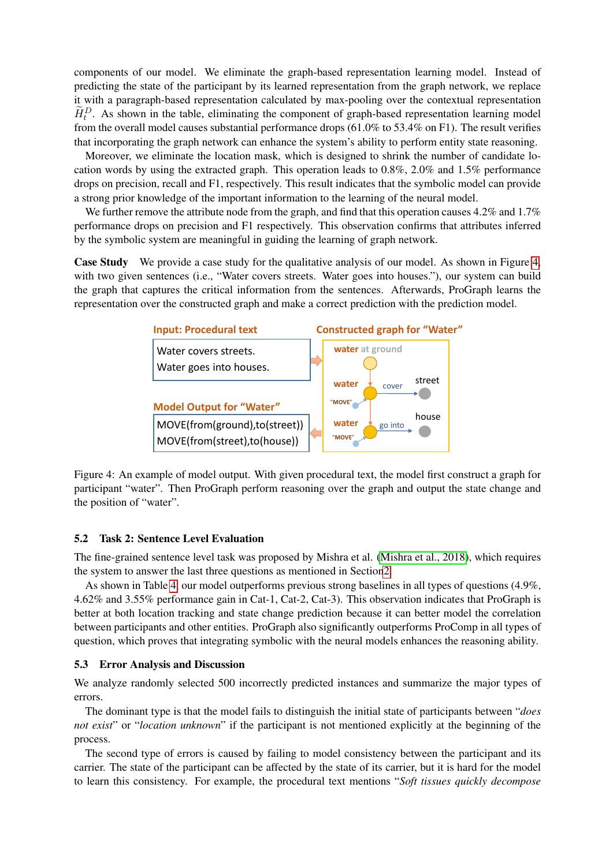components of our model. We eliminate the graph-based representation learning model. Instead of predicting the state of the participant by its learned representation from the graph network, we replace it with a paragraph-based representation calculated by max-pooling over the contextual representation  $\widetilde{H}_t^D$ . As shown in the table, eliminating the component of graph-based representation learning model from the overall model causes substantial performance drops (61.0% to 53.4% on F1). The result verifies that incorporating the graph network can enhance the system's ability to perform entity state reasoning.

Moreover, we eliminate the location mask, which is designed to shrink the number of candidate location words by using the extracted graph. This operation leads to 0.8%, 2.0% and 1.5% performance drops on precision, recall and F1, respectively. This result indicates that the symbolic model can provide a strong prior knowledge of the important information to the learning of the neural model.

We further remove the attribute node from the graph, and find that this operation causes 4.2% and 1.7% performance drops on precision and F1 respectively. This observation confirms that attributes inferred by the symbolic system are meaningful in guiding the learning of graph network.

**Case Study** We provide a case study for the qualitative analysis of our model. As shown in Figure [4,](#page-7-0) with two given sentences (i.e., "Water covers streets. Water goes into houses."), our system can build the graph that captures the critical information from the sentences. Afterwards, ProGraph learns the representation over the constructed graph and make a correct prediction with the prediction model.



<span id="page-7-0"></span>Figure 4: An example of model output. With given procedural text, the model first construct a graph for participant "water". Then ProGraph perform reasoning over the graph and output the state change and the position of "water".

#### 5.2 Task 2: Sentence Level Evaluation

the system to answer the last three questions as mentioned in Sectio[n2.](#page-1-2) The fine-grained sentence level task was proposed by Mishra et al. [\(Mishra et al., 2018\)](#page-9-9), which requires

As shown in Table [4,](#page-8-1) our model outperforms previous strong baselines in all types of questions (4.9%, 4.62% and 3.55% performance gain in Cat-1, Cat-2, Cat-3). This observation indicates that ProGraph is better at both location tracking and state change prediction because it can better model the correlation between participants and other entities. ProGraph also significantly outperforms ProComp in all types of question, which proves that integrating symbolic with the neural models enhances the reasoning ability.

#### 5.3 Error Analysis and Discussion

We analyze randomly selected 500 incorrectly predicted instances and summarize the major types of errors.

The dominant type is that the model fails to distinguish the initial state of participants between "*does not exist*" or "*location unknown*" if the participant is not mentioned explicitly at the beginning of the process.

The second type of errors is caused by failing to model consistency between the participant and its carrier. The state of the participant can be affected by the state of its carrier, but it is hard for the model to learn this consistency. For example, the procedural text mentions "*Soft tissues quickly decompose*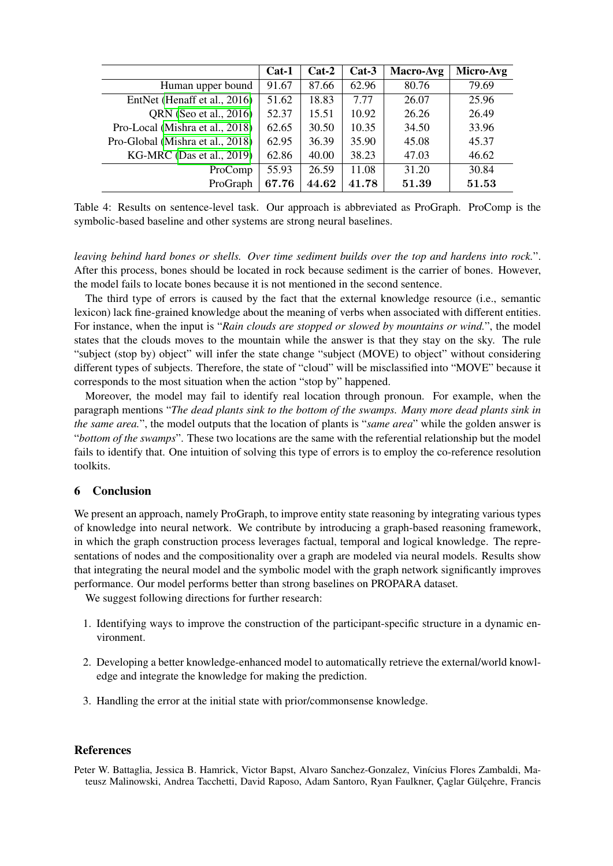|                                  | $Cat-1$ | $Cat-2$ | $Cat-3$ | Macro-Avg | Micro-Avg |
|----------------------------------|---------|---------|---------|-----------|-----------|
| Human upper bound                | 91.67   | 87.66   | 62.96   | 80.76     | 79.69     |
| EntNet (Henaff et al., 2016)     | 51.62   | 18.83   | 7.77    | 26.07     | 25.96     |
| QRN (Seo et al., 2016)           | 52.37   | 15.51   | 10.92   | 26.26     | 26.49     |
| Pro-Local (Mishra et al., 2018)  | 62.65   | 30.50   | 10.35   | 34.50     | 33.96     |
| Pro-Global (Mishra et al., 2018) | 62.95   | 36.39   | 35.90   | 45.08     | 45.37     |
| $KG-MRC$ (Das et al., 2019)      | 62.86   | 40.00   | 38.23   | 47.03     | 46.62     |
| ProComp                          | 55.93   | 26.59   | 11.08   | 31.20     | 30.84     |
| ProGraph                         | 67.76   | 44.62   | 41.78   | 51.39     | 51.53     |

<span id="page-8-1"></span>Table 4: Results on sentence-level task. Our approach is abbreviated as ProGraph. ProComp is the symbolic-based baseline and other systems are strong neural baselines.

*leaving behind hard bones or shells. Over time sediment builds over the top and hardens into rock.*". After this process, bones should be located in rock because sediment is the carrier of bones. However, the model fails to locate bones because it is not mentioned in the second sentence.

The third type of errors is caused by the fact that the external knowledge resource (i.e., semantic lexicon) lack fine-grained knowledge about the meaning of verbs when associated with different entities. For instance, when the input is "*Rain clouds are stopped or slowed by mountains or wind.*", the model states that the clouds moves to the mountain while the answer is that they stay on the sky. The rule "subject (stop by) object" will infer the state change "subject (MOVE) to object" without considering different types of subjects. Therefore, the state of "cloud" will be misclassified into "MOVE" because it corresponds to the most situation when the action "stop by" happened.

Moreover, the model may fail to identify real location through pronoun. For example, when the paragraph mentions "*The dead plants sink to the bottom of the swamps. Many more dead plants sink in the same area.*", the model outputs that the location of plants is "*same area*" while the golden answer is "*bottom of the swamps*". These two locations are the same with the referential relationship but the model fails to identify that. One intuition of solving this type of errors is to employ the co-reference resolution toolkits.

# 6 Conclusion

We present an approach, namely ProGraph, to improve entity state reasoning by integrating various types of knowledge into neural network. We contribute by introducing a graph-based reasoning framework, in which the graph construction process leverages factual, temporal and logical knowledge. The representations of nodes and the compositionality over a graph are modeled via neural models. Results show that integrating the neural model and the symbolic model with the graph network significantly improves performance. Our model performs better than strong baselines on PROPARA dataset.

We suggest following directions for further research:

- 1. Identifying ways to improve the construction of the participant-specific structure in a dynamic environment.
- 2. Developing a better knowledge-enhanced model to automatically retrieve the external/world knowledge and integrate the knowledge for making the prediction.
- 3. Handling the error at the initial state with prior/commonsense knowledge.

### References

<span id="page-8-0"></span>Peter W. Battaglia, Jessica B. Hamrick, Victor Bapst, Alvaro Sanchez-Gonzalez, Vinícius Flores Zambaldi, Mateusz Malinowski, Andrea Tacchetti, David Raposo, Adam Santoro, Ryan Faulkner, Çaglar Gülçehre, Francis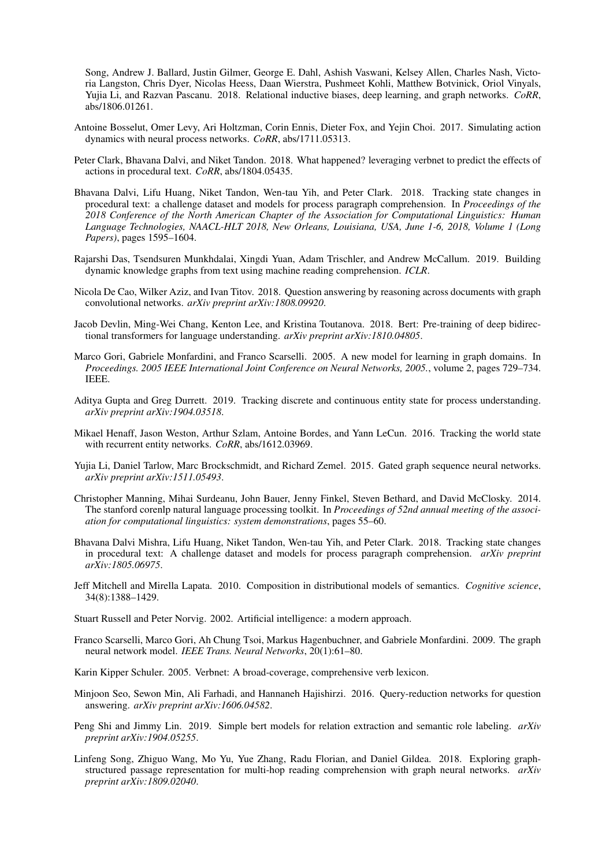Song, Andrew J. Ballard, Justin Gilmer, George E. Dahl, Ashish Vaswani, Kelsey Allen, Charles Nash, Victoria Langston, Chris Dyer, Nicolas Heess, Daan Wierstra, Pushmeet Kohli, Matthew Botvinick, Oriol Vinyals, Yujia Li, and Razvan Pascanu. 2018. Relational inductive biases, deep learning, and graph networks. *CoRR*, abs/1806.01261.

- <span id="page-9-2"></span>Antoine Bosselut, Omer Levy, Ari Holtzman, Corin Ennis, Dieter Fox, and Yejin Choi. 2017. Simulating action dynamics with neural process networks. *CoRR*, abs/1711.05313.
- <span id="page-9-11"></span>Peter Clark, Bhavana Dalvi, and Niket Tandon. 2018. What happened? leveraging verbnet to predict the effects of actions in procedural text. *CoRR*, abs/1804.05435.
- <span id="page-9-3"></span>Bhavana Dalvi, Lifu Huang, Niket Tandon, Wen-tau Yih, and Peter Clark. 2018. Tracking state changes in procedural text: a challenge dataset and models for process paragraph comprehension. In *Proceedings of the 2018 Conference of the North American Chapter of the Association for Computational Linguistics: Human Language Technologies, NAACL-HLT 2018, New Orleans, Louisiana, USA, June 1-6, 2018, Volume 1 (Long Papers)*, pages 1595–1604.
- <span id="page-9-4"></span>Rajarshi Das, Tsendsuren Munkhdalai, Xingdi Yuan, Adam Trischler, and Andrew McCallum. 2019. Building dynamic knowledge graphs from text using machine reading comprehension. *ICLR*.
- <span id="page-9-17"></span>Nicola De Cao, Wilker Aziz, and Ivan Titov. 2018. Question answering by reasoning across documents with graph convolutional networks. *arXiv preprint arXiv:1808.09920*.
- <span id="page-9-7"></span>Jacob Devlin, Ming-Wei Chang, Kenton Lee, and Kristina Toutanova. 2018. Bert: Pre-training of deep bidirectional transformers for language understanding. *arXiv preprint arXiv:1810.04805*.
- <span id="page-9-14"></span>Marco Gori, Gabriele Monfardini, and Franco Scarselli. 2005. A new model for learning in graph domains. In *Proceedings. 2005 IEEE International Joint Conference on Neural Networks, 2005.*, volume 2, pages 729–734. IEEE.
- <span id="page-9-10"></span>Aditya Gupta and Greg Durrett. 2019. Tracking discrete and continuous entity state for process understanding. *arXiv preprint arXiv:1904.03518*.
- <span id="page-9-0"></span>Mikael Henaff, Jason Weston, Arthur Szlam, Antoine Bordes, and Yann LeCun. 2016. Tracking the world state with recurrent entity networks. *CoRR*, abs/1612.03969.
- <span id="page-9-15"></span>Yujia Li, Daniel Tarlow, Marc Brockschmidt, and Richard Zemel. 2015. Gated graph sequence neural networks. *arXiv preprint arXiv:1511.05493*.
- <span id="page-9-13"></span>Christopher Manning, Mihai Surdeanu, John Bauer, Jenny Finkel, Steven Bethard, and David McClosky. 2014. The stanford corenlp natural language processing toolkit. In *Proceedings of 52nd annual meeting of the association for computational linguistics: system demonstrations*, pages 55–60.
- <span id="page-9-9"></span>Bhavana Dalvi Mishra, Lifu Huang, Niket Tandon, Wen-tau Yih, and Peter Clark. 2018. Tracking state changes in procedural text: A challenge dataset and models for process paragraph comprehension. *arXiv preprint arXiv:1805.06975*.
- <span id="page-9-18"></span>Jeff Mitchell and Mirella Lapata. 2010. Composition in distributional models of semantics. *Cognitive science*, 34(8):1388–1429.
- <span id="page-9-5"></span>Stuart Russell and Peter Norvig. 2002. Artificial intelligence: a modern approach.
- <span id="page-9-8"></span>Franco Scarselli, Marco Gori, Ah Chung Tsoi, Markus Hagenbuchner, and Gabriele Monfardini. 2009. The graph neural network model. *IEEE Trans. Neural Networks*, 20(1):61–80.
- <span id="page-9-6"></span>Karin Kipper Schuler. 2005. Verbnet: A broad-coverage, comprehensive verb lexicon.
- <span id="page-9-1"></span>Minjoon Seo, Sewon Min, Ali Farhadi, and Hannaneh Hajishirzi. 2016. Query-reduction networks for question answering. *arXiv preprint arXiv:1606.04582*.
- <span id="page-9-12"></span>Peng Shi and Jimmy Lin. 2019. Simple bert models for relation extraction and semantic role labeling. *arXiv preprint arXiv:1904.05255*.
- <span id="page-9-16"></span>Linfeng Song, Zhiguo Wang, Mo Yu, Yue Zhang, Radu Florian, and Daniel Gildea. 2018. Exploring graphstructured passage representation for multi-hop reading comprehension with graph neural networks. *arXiv preprint arXiv:1809.02040*.